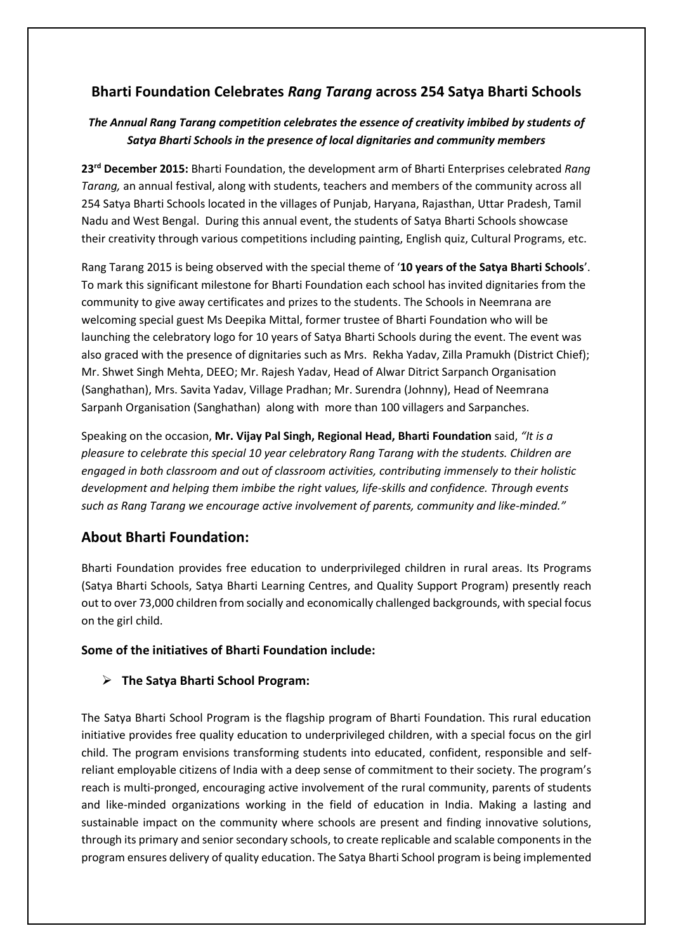# **Bharti Foundation Celebrates** *Rang Tarang* **across 254 Satya Bharti Schools**

## *The Annual Rang Tarang competition celebrates the essence of creativity imbibed by students of Satya Bharti Schools in the presence of local dignitaries and community members*

**23rd December 2015:** Bharti Foundation, the development arm of Bharti Enterprises celebrated *Rang Tarang,* an annual festival, along with students, teachers and members of the community across all 254 Satya Bharti Schools located in the villages of Punjab, Haryana, Rajasthan, Uttar Pradesh, Tamil Nadu and West Bengal. During this annual event, the students of Satya Bharti Schools showcase their creativity through various competitions including painting, English quiz, Cultural Programs, etc.

Rang Tarang 2015 is being observed with the special theme of '**10 years of the Satya Bharti Schools**'. To mark this significant milestone for Bharti Foundation each school has invited dignitaries from the community to give away certificates and prizes to the students. The Schools in Neemrana are welcoming special guest Ms Deepika Mittal, former trustee of Bharti Foundation who will be launching the celebratory logo for 10 years of Satya Bharti Schools during the event. The event was also graced with the presence of dignitaries such as Mrs. Rekha Yadav, Zilla Pramukh (District Chief); Mr. Shwet Singh Mehta, DEEO; Mr. Rajesh Yadav, Head of Alwar Ditrict Sarpanch Organisation (Sanghathan), Mrs. Savita Yadav, Village Pradhan; Mr. Surendra (Johnny), Head of Neemrana Sarpanh Organisation (Sanghathan) along with more than 100 villagers and Sarpanches.

Speaking on the occasion, **Mr. Vijay Pal Singh, Regional Head, Bharti Foundation** said, *"It is a pleasure to celebrate this special 10 year celebratory Rang Tarang with the students. Children are engaged in both classroom and out of classroom activities, contributing immensely to their holistic development and helping them imbibe the right values, life-skills and confidence. Through events such as Rang Tarang we encourage active involvement of parents, community and like-minded."*

# **About Bharti Foundation:**

Bharti Foundation provides free education to underprivileged children in rural areas. Its Programs (Satya Bharti Schools, Satya Bharti Learning Centres, and Quality Support Program) presently reach out to over 73,000 children from socially and economically challenged backgrounds, with special focus on the girl child.

### **Some of the initiatives of Bharti Foundation include:**

## **The Satya Bharti School Program:**

The Satya Bharti School Program is the flagship program of Bharti Foundation. This rural education initiative provides free quality education to underprivileged children, with a special focus on the girl child. The program envisions transforming students into educated, confident, responsible and selfreliant employable citizens of India with a deep sense of commitment to their society. The program's reach is multi-pronged, encouraging active involvement of the rural community, parents of students and like-minded organizations working in the field of education in India. Making a lasting and sustainable impact on the community where schools are present and finding innovative solutions, through its primary and senior secondary schools, to create replicable and scalable components in the program ensures delivery of quality education. The Satya Bharti School program is being implemented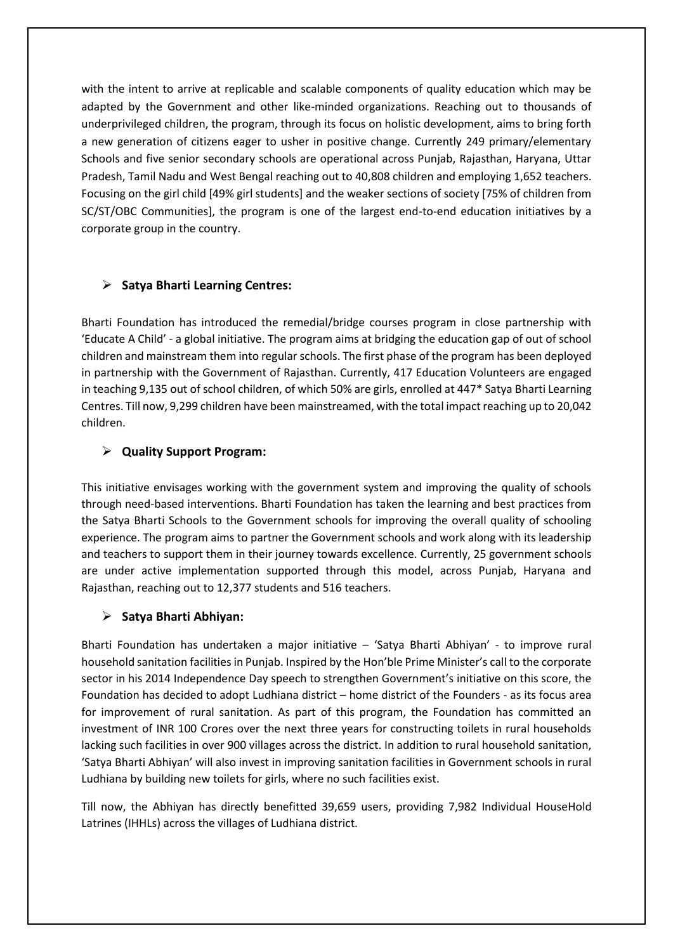with the intent to arrive at replicable and scalable components of quality education which may be adapted by the Government and other like-minded organizations. Reaching out to thousands of underprivileged children, the program, through its focus on holistic development, aims to bring forth a new generation of citizens eager to usher in positive change. Currently 249 primary/elementary Schools and five senior secondary schools are operational across Punjab, Rajasthan, Haryana, Uttar Pradesh, Tamil Nadu and West Bengal reaching out to 40,808 children and employing 1,652 teachers. Focusing on the girl child [49% girl students] and the weaker sections of society [75% of children from SC/ST/OBC Communities], the program is one of the largest end-to-end education initiatives by a corporate group in the country.

### **Satya Bharti Learning Centres:**

Bharti Foundation has introduced the remedial/bridge courses program in close partnership with 'Educate A Child' - a global initiative. The program aims at bridging the education gap of out of school children and mainstream them into regular schools. The first phase of the program has been deployed in partnership with the Government of Rajasthan. Currently, 417 Education Volunteers are engaged in teaching 9,135 out of school children, of which 50% are girls, enrolled at 447\* Satya Bharti Learning Centres. Till now, 9,299 children have been mainstreamed, with the total impact reaching up to 20,042 children.

### **Quality Support Program:**

This initiative envisages working with the government system and improving the quality of schools through need-based interventions. Bharti Foundation has taken the learning and best practices from the Satya Bharti Schools to the Government schools for improving the overall quality of schooling experience. The program aims to partner the Government schools and work along with its leadership and teachers to support them in their journey towards excellence. Currently, 25 government schools are under active implementation supported through this model, across Punjab, Haryana and Rajasthan, reaching out to 12,377 students and 516 teachers.

#### **Satya Bharti Abhiyan:**

Bharti Foundation has undertaken a major initiative – 'Satya Bharti Abhiyan' - to improve rural household sanitation facilities in Punjab. Inspired by the Hon'ble Prime Minister's call to the corporate sector in his 2014 Independence Day speech to strengthen Government's initiative on this score, the Foundation has decided to adopt Ludhiana district – home district of the Founders - as its focus area for improvement of rural sanitation. As part of this program, the Foundation has committed an investment of INR 100 Crores over the next three years for constructing toilets in rural households lacking such facilities in over 900 villages across the district. In addition to rural household sanitation, 'Satya Bharti Abhiyan' will also invest in improving sanitation facilities in Government schools in rural Ludhiana by building new toilets for girls, where no such facilities exist.

Till now, the Abhiyan has directly benefitted 39,659 users, providing 7,982 Individual HouseHold Latrines (IHHLs) across the villages of Ludhiana district.